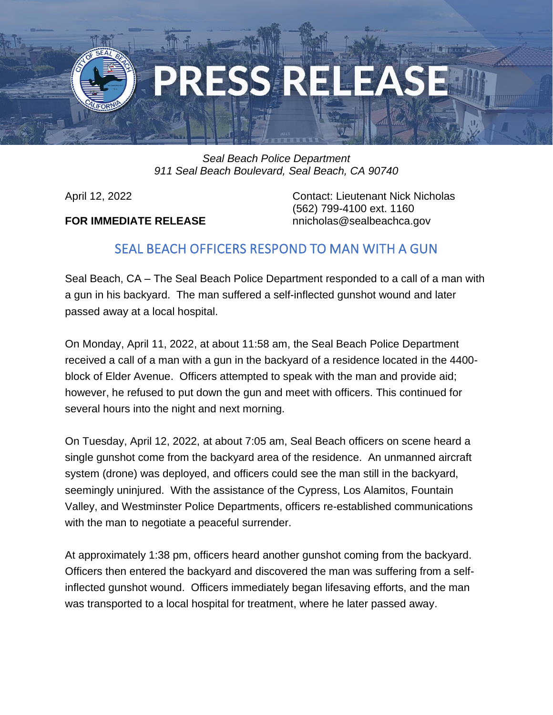

## *Seal Beach Police Department 911 Seal Beach Boulevard, Seal Beach, CA 90740*

**FOR IMMEDIATE RELEASE** nnicholas@sealbeachca.gov

April 12, 2022 Contact: Lieutenant Nick Nicholas (562) 799-4100 ext. 1160

## SEAL BEACH OFFICERS RESPOND TO MAN WITH A GUN

Seal Beach, CA – The Seal Beach Police Department responded to a call of a man with a gun in his backyard. The man suffered a self-inflected gunshot wound and later passed away at a local hospital.

On Monday, April 11, 2022, at about 11:58 am, the Seal Beach Police Department received a call of a man with a gun in the backyard of a residence located in the 4400 block of Elder Avenue. Officers attempted to speak with the man and provide aid; however, he refused to put down the gun and meet with officers. This continued for several hours into the night and next morning.

On Tuesday, April 12, 2022, at about 7:05 am, Seal Beach officers on scene heard a single gunshot come from the backyard area of the residence. An unmanned aircraft system (drone) was deployed, and officers could see the man still in the backyard, seemingly uninjured. With the assistance of the Cypress, Los Alamitos, Fountain Valley, and Westminster Police Departments, officers re-established communications with the man to negotiate a peaceful surrender.

At approximately 1:38 pm, officers heard another gunshot coming from the backyard. Officers then entered the backyard and discovered the man was suffering from a selfinflected gunshot wound. Officers immediately began lifesaving efforts, and the man was transported to a local hospital for treatment, where he later passed away.